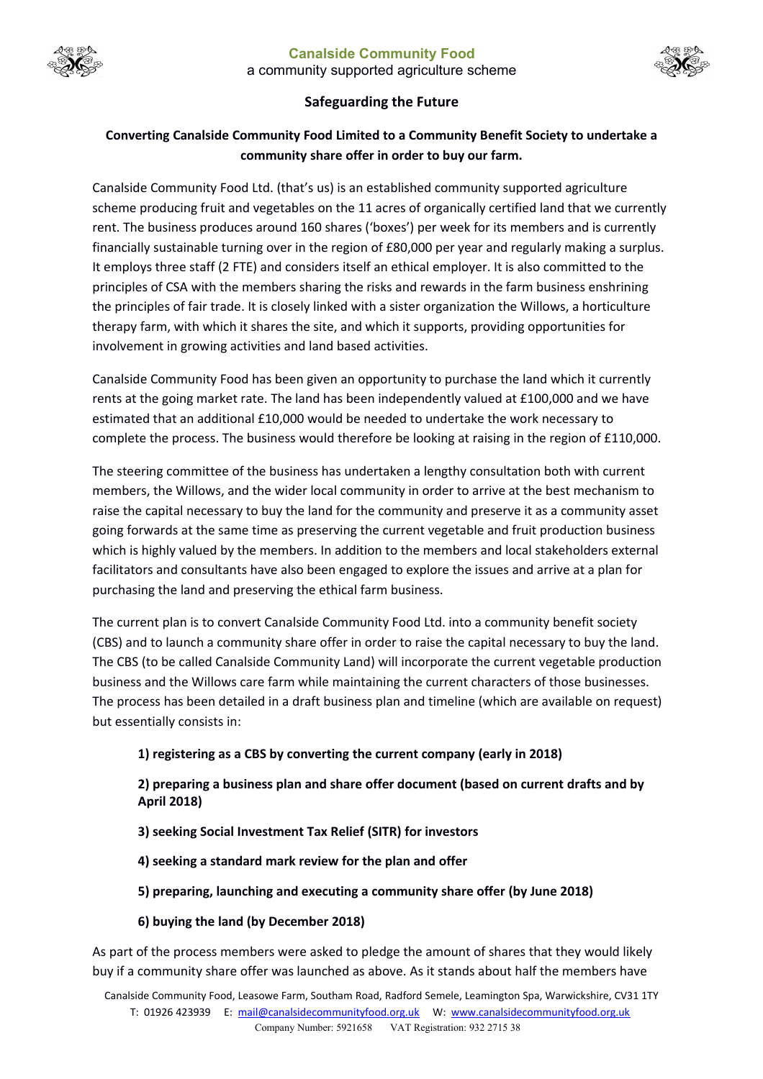



## **Safeguarding the Future**

## **Converting Canalside Community Food Limited to a Community Benefit Society to undertake a community share offer in order to buy our farm.**

Canalside Community Food Ltd. (that's us) is an established community supported agriculture scheme producing fruit and vegetables on the 11 acres of organically certified land that we currently rent. The business produces around 160 shares ('boxes') per week for its members and is currently financially sustainable turning over in the region of £80,000 per year and regularly making a surplus. It employs three staff (2 FTE) and considers itself an ethical employer. It is also committed to the principles of CSA with the members sharing the risks and rewards in the farm business enshrining the principles of fair trade. It is closely linked with a sister organization the Willows, a horticulture therapy farm, with which it shares the site, and which it supports, providing opportunities for involvement in growing activities and land based activities.

Canalside Community Food has been given an opportunity to purchase the land which it currently rents at the going market rate. The land has been independently valued at £100,000 and we have estimated that an additional £10,000 would be needed to undertake the work necessary to complete the process. The business would therefore be looking at raising in the region of £110,000.

The steering committee of the business has undertaken a lengthy consultation both with current members, the Willows, and the wider local community in order to arrive at the best mechanism to raise the capital necessary to buy the land for the community and preserve it as a community asset going forwards at the same time as preserving the current vegetable and fruit production business which is highly valued by the members. In addition to the members and local stakeholders external facilitators and consultants have also been engaged to explore the issues and arrive at a plan for purchasing the land and preserving the ethical farm business.

The current plan is to convert Canalside Community Food Ltd. into a community benefit society (CBS) and to launch a community share offer in order to raise the capital necessary to buy the land. The CBS (to be called Canalside Community Land) will incorporate the current vegetable production business and the Willows care farm while maintaining the current characters of those businesses. The process has been detailed in a draft business plan and timeline (which are available on request) but essentially consists in:

## **1) registering as a CBS by converting the current company (early in 2018)**

**2) preparing a business plan and share offer document (based on current drafts and by April 2018)**

- **3) seeking Social Investment Tax Relief (SITR) for investors**
- **4) seeking a standard mark review for the plan and offer**
- **5) preparing, launching and executing a community share offer (by June 2018)**
- **6) buying the land (by December 2018)**

As part of the process members were asked to pledge the amount of shares that they would likely buy if a community share offer was launched as above. As it stands about half the members have